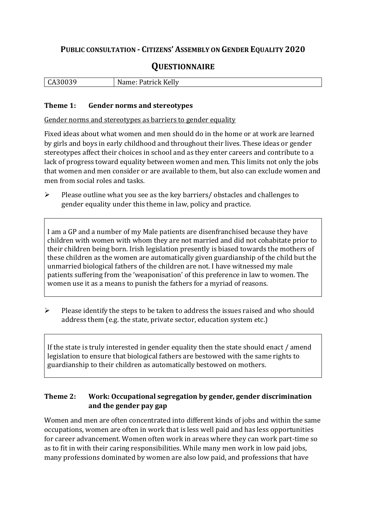## **PUBLIC CONSULTATION - CITIZENS' ASSEMBLY ON GENDER EQUALITY 2020**

# **QUESTIONNAIRE**

| $\mathbf{r}$<br>יי<br>. .<br>d I<br>$\sim$ $\sim$ $\sim$ $\sim$ $\sim$ $\sim$ $\sim$ $\sim$<br><b>ULL</b> |
|-----------------------------------------------------------------------------------------------------------|
|-----------------------------------------------------------------------------------------------------------|

#### **Theme 1: Gender norms and stereotypes**

Gender norms and stereotypes as barriers to gender equality

Fixed ideas about what women and men should do in the home or at work are learned by girls and boys in early childhood and throughout their lives. These ideas or gender stereotypes affect their choices in school and as they enter careers and contribute to a lack of progress toward equality between women and men. This limits not only the jobs that women and men consider or are available to them, but also can exclude women and men from social roles and tasks.

➢ Please outline what you see as the key barriers/ obstacles and challenges to gender equality under this theme in law, policy and practice.

I am a GP and a number of my Male patients are disenfranchised because they have children with women with whom they are not married and did not cohabitate prior to their children being born. Irish legislation presently is biased towards the mothers of these children as the women are automatically given guardianship of the child but the unmarried biological fathers of the children are not. I have witnessed my male patients suffering from the 'weaponisation' of this preference in law to women. The women use it as a means to punish the fathers for a myriad of reasons.

➢ Please identify the steps to be taken to address the issues raised and who should address them (e.g. the state, private sector, education system etc.)

If the state is truly interested in gender equality then the state should enact / amend legislation to ensure that biological fathers are bestowed with the same rights to guardianship to their children as automatically bestowed on mothers.

#### **Theme 2: Work: Occupational segregation by gender, gender discrimination and the gender pay gap**

Women and men are often concentrated into different kinds of jobs and within the same occupations, women are often in work that is less well paid and has less opportunities for career advancement. Women often work in areas where they can work part-time so as to fit in with their caring responsibilities. While many men work in low paid jobs, many professions dominated by women are also low paid, and professions that have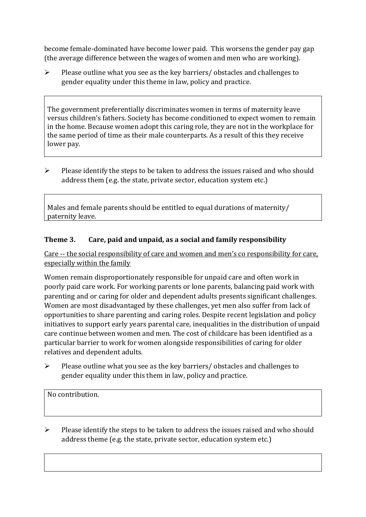become female-dominated have become lower paid. This worsens the gender pay gap (the average difference between the wages of women and men who are working).

 $\triangleright$  Please outline what you see as the key barriers/ obstacles and challenges to gender equality under this theme in law, policy and practice.

The government preferentially discriminates women in terms of maternity leave versus children's fathers. Society has become conditioned to expect women to remain in the home. Because women adopt this caring role, they are not in the workplace for the same period of time as their male counterparts. As a result of this they receive lower pay.

➢ Please identify the steps to be taken to address the issues raised and who should address them (e.g. the state, private sector, education system etc.)

Males and female parents should be entitled to equal durations of maternity/ paternity leave.

### **Theme 3. Care, paid and unpaid, as a social and family responsibility**

Care -- the social responsibility of care and women and men's co responsibility for care, especially within the family

Women remain disproportionately responsible for unpaid care and often work in poorly paid care work. For working parents or [lone parents,](https://aran.library.nuigalway.ie/bitstream/handle/10379/6044/Millar_and_Crosse_Activation_Report.pdf?sequence=1&isAllowed=y) balancing paid work with parenting and or caring for older and dependent adults presents significant challenges. Women are [most disadvantaged by these challenges,](https://eige.europa.eu/gender-equality-index/game/IE/W) yet men also suffer from lack of opportunities to share parenting and caring roles. Despite recent legislation and policy initiatives to support early years parental care, [inequalities in the distribution of unpaid](https://www.ihrec.ie/app/uploads/2019/07/Caring-and-Unpaid-Work-in-Ireland_Final.pdf)  [care](https://www.ihrec.ie/app/uploads/2019/07/Caring-and-Unpaid-Work-in-Ireland_Final.pdf) continue between women and men. The cost of childcare has been identified as a particular barrier to work for women alongside responsibilities of caring for older relatives and dependent adults.

➢ Please outline what you see as the key barriers/ obstacles and challenges to gender equality under this them in law, policy and practice.

No contribution.

 $\triangleright$  Please identify the steps to be taken to address the issues raised and who should address theme (e.g. the state, private sector, education system etc.)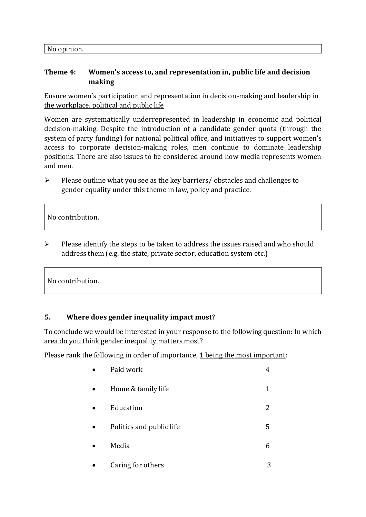No opinion.

#### **Theme 4: Women's access to, and representation in, public life and decision making**

Ensure women's participation and representation in decision-making and leadership in the workplace, political and public life

Women are systematically underrepresented in leadership in [economic](https://eige.europa.eu/gender-equality-index/2019/compare-countries/power/2/bar) and [political](https://eige.europa.eu/gender-equality-index/2019/compare-countries/power/1/bar)  [decision-](https://eige.europa.eu/gender-equality-index/2019/compare-countries/power/1/bar)making. Despite the introduction of a candidate gender quota (through the system of party funding) for national political office, and [initiatives](https://betterbalance.ie/) to support women's access to corporate decision-making roles, men continue to dominate leadership positions. There are also issues to be considered around how media represents women and men.

➢ Please outline what you see as the key barriers/ obstacles and challenges to gender equality under this theme in law, policy and practice.

No contribution.

➢ Please identify the steps to be taken to address the issues raised and who should address them (e.g. the state, private sector, education system etc.)

No contribution.

#### **5. Where does gender inequality impact most?**

To conclude we would be interested in your response to the following question: In which area do you think gender inequality matters most?

Please rank the following in order of importance, 1 being the most important:

| Paid work                | 4 |
|--------------------------|---|
| Home & family life       | 1 |
| Education                | 2 |
| Politics and public life | 5 |
| Media                    | 6 |
| Caring for others        |   |